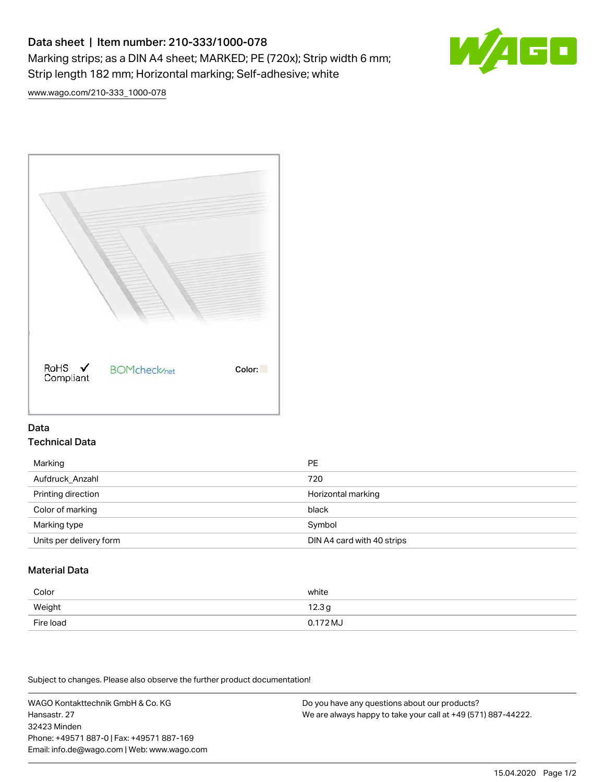# Data sheet | Item number: 210-333/1000-078 Marking strips; as a DIN A4 sheet; MARKED; PE (720x); Strip width 6 mm; Strip length 182 mm; Horizontal marking; Self-adhesive; white



[www.wago.com/210-333\\_1000-078](http://www.wago.com/210-333_1000-078)



#### Data Technical Data

| Marking                 | <b>PE</b>                  |
|-------------------------|----------------------------|
| Aufdruck Anzahl         | 720                        |
| Printing direction      | Horizontal marking         |
| Color of marking        | black                      |
| Marking type            | Symbol                     |
| Units per delivery form | DIN A4 card with 40 strips |

## Material Data

| Color     | white    |
|-----------|----------|
| Weight    | 12.3g    |
| Fire load | 0.172 MJ |

Subject to changes. Please also observe the further product documentation!

WAGO Kontakttechnik GmbH & Co. KG Hansastr. 27 32423 Minden Phone: +49571 887-0 | Fax: +49571 887-169 Email: info.de@wago.com | Web: www.wago.com

Do you have any questions about our products? We are always happy to take your call at +49 (571) 887-44222.